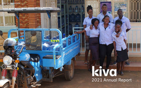# 2021 Annual Report

BOILING WATER

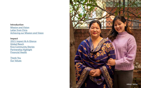### **Introduction**

**[Mission and Vision](#page-2-0) [Letter from Chris](#page-3-0) [Achieving our Mission and Vision](#page-4-0)** 

### **Impact**

[Thank You](#page-12-0) **[Our Values](#page-13-0)** 



[2021 Impact At-A-Glance](#page-7-0) [Global Reach](#page-8-0) [Kiva Community Stories](#page-9-0) [Partnership Highlight](#page-10-0) [Financial Health](#page-11-0)

KIRAN | NEPAL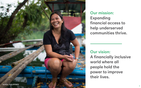### Our mission: Expanding financial access to help underserved communities thrive.

## Our vision: A financially inclusive world where all people hold the power to improve their lives.

<span id="page-2-0"></span>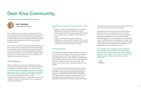**Chris Tsakalakis Chief Executive Officer** 

## <span id="page-3-0"></span>Dear Kiva Community,



As I recently passed my one year anniversary with Kiva, I'm reminded of the purpose and passion that drew me to this organization. For over 16 years, Kiva has provided an incredible opportunity to directly help individuals, families, and businesses around the world with much needed access to capital.

Kiva's work, and more specifically the people behind it, has led to extraordinary outcomes. Farmers have expanded their operations and provided employment opportunities to their communities; women have launched innovative businesses; students have pursued their education. When barriers to access to capital are removed, potential and opportunity are allowed to flourish.

#### 2021 Milestones

2021 was a banner year for Kiva. Despite it being the second year of a global pandemic, our efforts continued to expand and positively impact even more lives. Our community enabled our biggest year ever with 550,000 borrowers across more than 60 countries receiving over \$223 million worth of loans! That is a 76% increase on Kiva's loan volume of \$127 million in 2020. I am grateful to all the partners, organizations, individuals, volunteers, lenders, and borrowers who have helped us reach these milestones.

#### In addition to our overall loan volume increase, in 2021, Kiva:

- began to modernize Kiva Marketplace and funded \$156 million in loans, 21% more than in 2020
- continued to scale Kiva Capital, securing \$134 million in committed assets, and deploying \$67 million in loans
- added 13 new positions to our organization
- established an important DEI foundation for Kiva with organization-wide trainings, recruiting enhancements, an inclusion-focused committee, and more

### Looking Forward

Even after such a milestone year, 'resting on our laurels' is not in Kiva's vocabulary. With nearly two decades of experience under our belt as an organization, we are looking toward the future with optimism and enthusiasm. We're asking questions like "how can we most effectively expand our impact to reach even more lives?" This question is our central focus, helping to shape our next chapter.

This includes making difficult decisions to concentrate our efforts where we can achieve the most impact. In May 2022 we [announced the sunset of Kiva Protocol.](https://www.kiva.org/blog/sunset-kiva-protocol) Launched in 2018, Kiva Protocol was an ambitious undertaking aimed at addressing systemic barriers to financial inclusion at national scale. After four years, extended implementation timelines coupled with delays

caused by the COVID-19 pandemic pushed Kiva Protocol past our organizational scale and capacity.

Sunsetting Kiva Protocol allows us to concentrate our efforts to scale our investments in the lives of those around the world who need it most. We are doing that through Kiva Marketplace, our core crowdfunded microlending platform, and Kiva Capital, our institutional impact investing business. Marketplace and Capital are both focused on achieving our fundamental goal in 2022: increase our impact by enabling more lending to more underserved borrowers around the world.



The expansion of Kiva's impact is made possible by our incredible community. Each of you have helped contribute to this milestone year and we are immensely grateful for your support. I look forward to continuing to build together. Thank you for being part of this movement.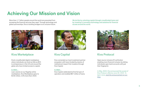## <span id="page-4-0"></span>Achieving Our Mission and Vision

More than 1.7 billion people around the world are prevented from accessing the financial services they need. Through technology and global partnerships, Kiva is building bridges to an inclusive future.

Kiva's crowdfunded digital marketplace where individuals can lend as little as \$25 to entrepreneurs in the US and around the globe who have limited access to capital.

#### In 2021...

Loan volume on our flagship online marketplace, Kiva Marketplace grew to \$156 million, 21% more than 2020.

Kiva connected our local investment partner ecosystem with loans funded by dozens of institutional impact-first investors through Kiva Capital.

#### In 2021...

Kiva Capital celebrated its first full year of operation and enabled \$67 million of loans.



Open source inclusive ID verification enabling more financial inclusion by letting individuals open bank accounts with just their fingerprint.

We do this by unlocking capital through crowdfunded loans and by investing in innovative technology and solutions for financial access around the world.



### Kiva Marketplace Kiva Capital Kiva Kiva Protocol



*In May, 2022, Kiva announced the sunset of Kiva Protocol, effective June 30, 2022. To learn more, [read the announcement on our](https://www.kiva.org/blog/sunset-kiva-protocol)* 

*[blog](https://www.kiva.org/blog/sunset-kiva-protocol)*

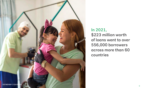### In 2021, \$223 million worth of loans went to over 556,000 borrowers across more than 60 countries

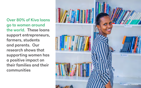Over 80% of Kiva loans go to women around the world. These loans support entrepreneurs, farmers, students and parents. Our research shows that supporting women has a positive impact on their families and their communities

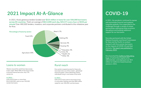## <span id="page-7-0"></span>2021 Impact At-A-Glance

In 2021, Kiva's generous lenders funded over \$223 million in loans for over 556,000 borrowers across 65 countries. That's an average of \$613,699 each day, \$25,571 every hour or \$426 per minute! Over 480,000 lenders, investors, and corporate partners contributed to this milestone year for Kiva.

In 2021, the pandemic continued to expose and exacerbate financial and systemic inequities globally. Kiva responded to the challenges through a variety of unique partnerships addressing these economic disruptions and building additional support for our borrowers.

Kiva also partnered with the United Nations Economic and Social Commission for Asia and the Pacific to conduct research with Kiva women-borrowers on the impacts of COVID-19 and their recovery. The report was published in [February, 2022.](https://www.kiva.global/kiva-org/improving-financial-solutions-for-women-micro-entrepreneurs-a-report-highlights-key-focus-areas-for-microfinance-providers/)



### Loans to women and reach reach reach reach reach reach reach reach reach reach reach reach reach reach reach reach reach reach reach reach reach reach reach reach reach reach reach reach reach reach reach reach reach reach

Kiva launched th[e California Rebuilding](http://caloanfund.org/)  [Fund,](http://caloanfund.org/) of which Kiva Capital is the administrator, and deployed over \$53 million to California-based business owners in 2021.

### COVID-19

Women around the world have less access to fair credit. While 46% of men have access to formal financial services, only 27% women do.

#### In 2021...

81% of Kiva loans, or more than \$142,000,000, went to over 330,000 women borrowers.

Kiva works to expand access for those who have been shut out of the modern, globalized financial system, which oftentimes means individuals living in rural areas of the world.

#### In 2021...

62% of Kiva loans went to borrowers living in rural areas, totaling more than \$90 million raised for over 290,000 rural borrowers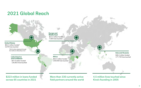#### **Asia and Oceania**

**Europe and Middle East**

### **United States**

#### **Latin America and Caribbean**

More than 330 currently active field partners around the world

\$223 million in loans funded across 65 countries in 2021

**Africa** \$52.4 million funded 239,058 lives touched

### 4.5 million lives touched since Kiva's founding in 2005

\$62.3 million funded\* 5,879 lives touched

## <span id="page-8-0"></span>2021 Global Reach

\$13.2 million funded 7,004 lives touched

> \$48.4 million funded 177,739 lives touched

\$47.6 million funded 126,852 lives touched

*\*\$53.6 million deployed through the California Rebuilding Fund*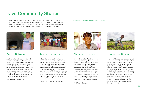## <span id="page-9-0"></span>Kiva Community Stories

Ana is an artisanal bread maker from El Salvador, pictured beside her traditional outdoor mud oven. Loans through Kiva have enabled Ana to buy ingredients, such as flours and curd, for her business. Because of the low fees on her loans, she has been able to increase her profit margins and reinvest her revenue into expanding operations. Ana's growing business has enabled her to support her family and continue a treasured cultural tradition of bread making.

Field Partner: PADECOMSM



### Ana, El Salvador Mbalu, Sierra Leone Nyoman, Indonesia Farmerline, Ghana

Mbalu (first on the left) is the featured borrower of a group called "Mbalu's Female Farmers". Current economic unrest in Sierra Leone has resulted in food shortages and rising costs. With support from Kiva loans, Mbalu and her fellow women farmers have increased their rice production in order to enhance members' livelihoods and increase food access in the region at a time when it is badly needed. Pictured: Mbalu, Mahawa, Marawa, Hawa, Aminata, Fatmata, Sallay, Fatmata, Adamsay, Mariatu

Field Partner: Mountain Lion Agriculture



Nyoman is an artisan from Indonesia who specializes in silver, gold and gemstone jewelry. "One day I made small wooden beads which I strung into a bracelet. It wasn't perfect, but the jewelry idea was there and my father was very proud. I decided to explore my dream and talent, so I started creating jewelry on my own." Nyoman used his Kiva loan to invest in his growing jewelry business by purchasing supplies. He now runs a successful shop and sells his wares all over the world, supporting his wife and three children.

Field Partner: Novica





Over half of Ghana's labor force is engaged in agriculture and of these roughly 4 million farmers, only 10% have access to credit. Farmerline is a tech company founded by two Ghanaians, Alloysius Attah and Emmanuel Addai, with a mission to create lasting profit for farmers through top quality and affordable access to credit with flexible repayment terms. Each farmer is registered with a digital identity and receives critical market and location-specific weather information and training in local languages. In 2021, Farmerline used a \$200,000 Kiva Labs Social Enterprise loan to meet increased demand.

Kiva's work would not be possible without our vast community of lenders, borrowers, field partners, hubs, volunteers, and corporate partners. Together, this collaborative network moves funding into communities that need it most, resulting in an investing movement rich with real dreams and real stories.

Here are just a few borrower stories from 2021.

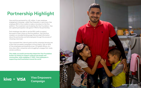## <span id="page-10-0"></span>Partnership Highlight

Visa and Kiva partnered for a \$1 million, 5-year employee engagement campaign, called Visa Empowers, to give every Visa employee \$50 in Kiva credits to make a microloan on the Kiva platform. The investment was funded by the Visa Foundation. Visa set a global participation rate goal of 70% for the partnership.

Each employee was able to use the \$50 credit to support borrowers of their choice on the Kiva platform. Visa and Kiva created a co-branded landing page that provided information about the partnership and led employees through the process of choosing a borrower.

### Kiva + VISA Visa Empowers Campaign



Visa surpassed their internal goals and the campaign became one of the most successful campaigns in Kiva's history, with an 82% of Visa employees participating across 120 global offices, at a time when other companies were struggling to engage their newly remote workforce.

This wildly successful partnership helped the Visa Foundation further its mission to support underserved people and communities, while engaging 17,000+ Visa employees in supporting small businesses around the world.

SERGIO | COLOMBIA

ц.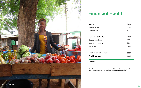## Financial Health

**Assets**  Current Assets Other Assets

**Liabilities & N Current Liabilit** Long-Term Liab Net Assets

**Total Revenue Total Expense** 

*The information shown above represents 2021 unaudited consolidated financial information for Kiva Microfunds and certain subsidiaries.* 

*\$ in millions\**

<span id="page-11-0"></span>

|                   | \$46.6* |
|-------------------|---------|
| ζ                 | \$28.9  |
|                   | \$17.7  |
|                   |         |
| <b>let Assets</b> | \$46.6  |
| ties              | \$3.5   |
| bilities          | \$0.1   |
|                   | \$43.0  |
|                   |         |
| e & Support       | \$48.9  |
| es                | \$38.7  |
|                   |         |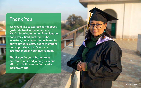### <span id="page-12-0"></span>Thank You

We would like to express our deepest gratitude to all of the members of Kiva's global community. From lenders, borrowers, field partners, hubs, investors, and corporate partners, to our volunteers, staff, board members and supporters, Kiva's work is strengthened by your involvement.

Thank you for contributing to our milestone year and joining us in our efforts to build a more financially inclusive world.

YOGINI | NEPAL